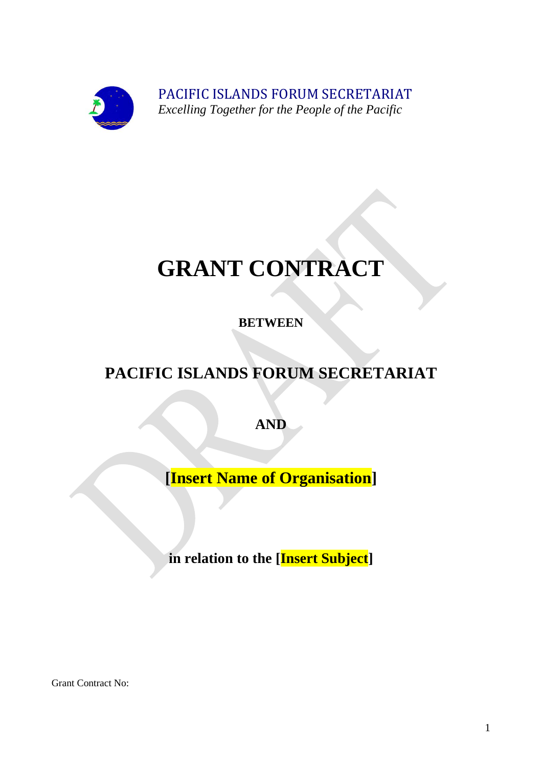

PACIFIC ISLANDS FORUM SECRETARIAT  *Excelling Together for the People of the Pacific* 

# **GRANT CONTRACT**

**BETWEEN**

## **PACIFIC ISLANDS FORUM SECRETARIAT**

**AND** 

**[Insert Name of Organisation]**

**in relation to the [Insert Subject]**

Grant Contract No: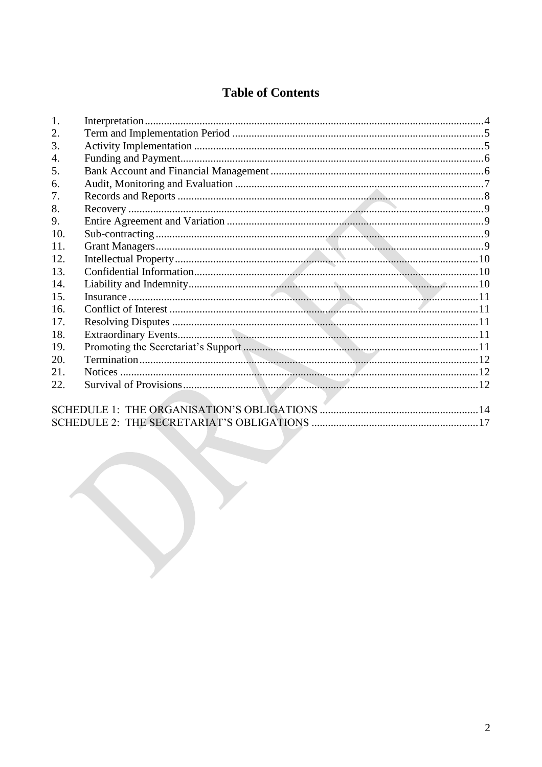### **Table of Contents**

| 1.              |  |
|-----------------|--|
| 2.              |  |
| 3.              |  |
| 4.              |  |
| 5.              |  |
| 6.              |  |
| 7.              |  |
| 8.              |  |
| 9.              |  |
| 10.             |  |
| 11.             |  |
| 12.             |  |
| 13.             |  |
| 14.             |  |
| 15.             |  |
| 16 <sub>1</sub> |  |
| 17.             |  |
| 18.             |  |
| 19.             |  |
| 20.             |  |
| 21.             |  |
| 22.             |  |
|                 |  |
|                 |  |
|                 |  |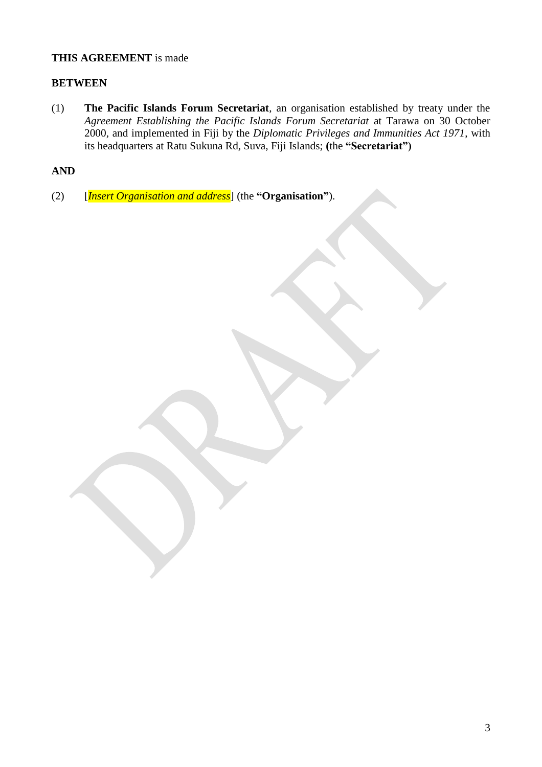#### **THIS AGREEMENT** is made

#### **BETWEEN**

(1) **The Pacific Islands Forum Secretariat**, an organisation established by treaty under the *Agreement Establishing the Pacific Islands Forum Secretariat* at Tarawa on 30 October 2000, and implemented in Fiji by the *Diplomatic Privileges and Immunities Act 1971*, with its headquarters at Ratu Sukuna Rd, Suva, Fiji Islands; **(**the **"Secretariat")**

#### **AND**

(2) [*Insert Organisation and address*] (the **"Organisation"**).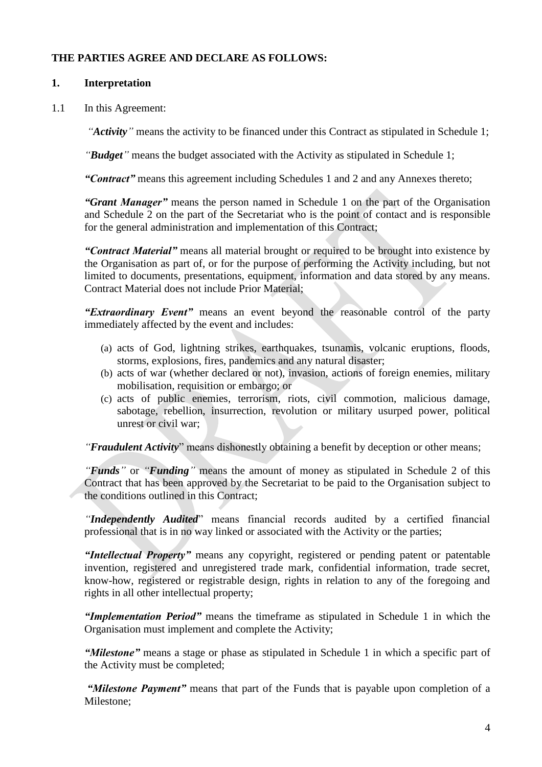#### **THE PARTIES AGREE AND DECLARE AS FOLLOWS:**

#### <span id="page-3-0"></span>**1. Interpretation**

1.1 In this Agreement:

*"Activity"* means the activity to be financed under this Contract as stipulated in Schedule 1;

*"Budget"* means the budget associated with the Activity as stipulated in Schedule 1;

*"Contract"* means this agreement including Schedules 1 and 2 and any Annexes thereto;

*"Grant Manager"* means the person named in Schedule 1 on the part of the Organisation and Schedule 2 on the part of the Secretariat who is the point of contact and is responsible for the general administration and implementation of this Contract;

*"Contract Material"* means all material brought or required to be brought into existence by the Organisation as part of, or for the purpose of performing the Activity including, but not limited to documents, presentations, equipment, information and data stored by any means. Contract Material does not include Prior Material;

*"Extraordinary Event"* means an event beyond the reasonable control of the party immediately affected by the event and includes:

- (a) acts of God, lightning strikes, earthquakes, tsunamis, volcanic eruptions, floods, storms, explosions, fires, pandemics and any natural disaster;
- (b) acts of war (whether declared or not), invasion, actions of foreign enemies, military mobilisation, requisition or embargo; or
- (c) acts of public enemies, terrorism, riots, civil commotion, malicious damage, sabotage, rebellion, insurrection, revolution or military usurped power, political unrest or civil war;

*"Fraudulent Activity*" means dishonestly obtaining a benefit by deception or other means;

*"Funds"* or *"Funding"* means the amount of money as stipulated in Schedule 2 of this Contract that has been approved by the Secretariat to be paid to the Organisation subject to the conditions outlined in this Contract;

*"Independently Audited*" means financial records audited by a certified financial professional that is in no way linked or associated with the Activity or the parties;

*"Intellectual Property"* means any copyright, registered or pending patent or patentable invention, registered and unregistered trade mark, confidential information, trade secret, know-how, registered or registrable design, rights in relation to any of the foregoing and rights in all other intellectual property;

*"Implementation Period"* means the timeframe as stipulated in Schedule 1 in which the Organisation must implement and complete the Activity;

*"Milestone"* means a stage or phase as stipulated in Schedule 1 in which a specific part of the Activity must be completed;

*"Milestone Payment"* means that part of the Funds that is payable upon completion of a Milestone;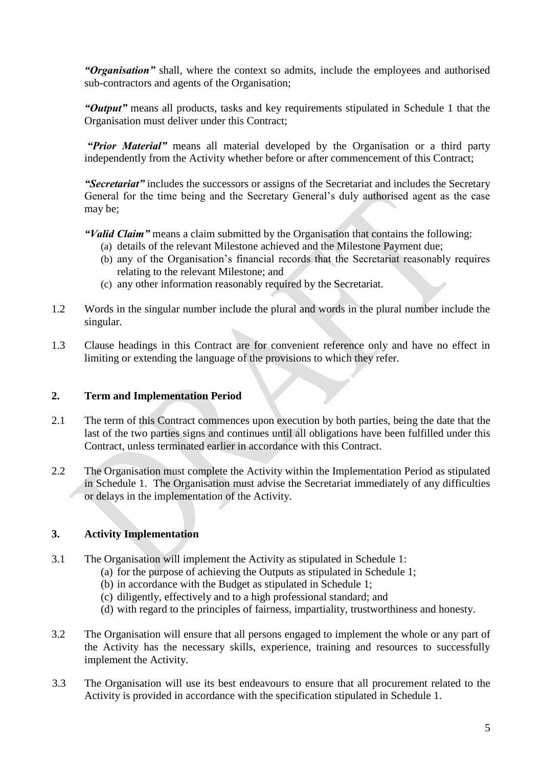*"Organisation"* shall, where the context so admits, include the employees and authorised sub-contractors and agents of the Organisation;

*"Output"* means all products, tasks and key requirements stipulated in Schedule 1 that the Organisation must deliver under this Contract;

*"Prior Material"* means all material developed by the Organisation or a third party independently from the Activity whether before or after commencement of this Contract;

*"Secretariat"* includes the successors or assigns of the Secretariat and includes the Secretary General for the time being and the Secretary General's duly authorised agent as the case may be;

*"Valid Claim"* means a claim submitted by the Organisation that contains the following:

- (a) details of the relevant Milestone achieved and the Milestone Payment due;
- (b) any of the Organisation's financial records that the Secretariat reasonably requires relating to the relevant Milestone; and
- (c) any other information reasonably required by the Secretariat.
- 1.2 Words in the singular number include the plural and words in the plural number include the singular.
- 1.3 Clause headings in this Contract are for convenient reference only and have no effect in limiting or extending the language of the provisions to which they refer.

#### <span id="page-4-0"></span>**2. Term and Implementation Period**

- 2.1 The term of this Contract commences upon execution by both parties, being the date that the last of the two parties signs and continues until all obligations have been fulfilled under this Contract, unless terminated earlier in accordance with this Contract.
- 2.2 The Organisation must complete the Activity within the Implementation Period as stipulated in Schedule 1. The Organisation must advise the Secretariat immediately of any difficulties or delays in the implementation of the Activity.

#### <span id="page-4-1"></span>**3. Activity Implementation**

- 3.1 The Organisation will implement the Activity as stipulated in Schedule 1:
	- (a) for the purpose of achieving the Outputs as stipulated in Schedule 1;
		- (b) in accordance with the Budget as stipulated in Schedule 1;
		- (c) diligently, effectively and to a high professional standard; and
		- (d) with regard to the principles of fairness, impartiality, trustworthiness and honesty.
- 3.2 The Organisation will ensure that all persons engaged to implement the whole or any part of the Activity has the necessary skills, experience, training and resources to successfully implement the Activity.
- 3.3 The Organisation will use its best endeavours to ensure that all procurement related to the Activity is provided in accordance with the specification stipulated in Schedule 1.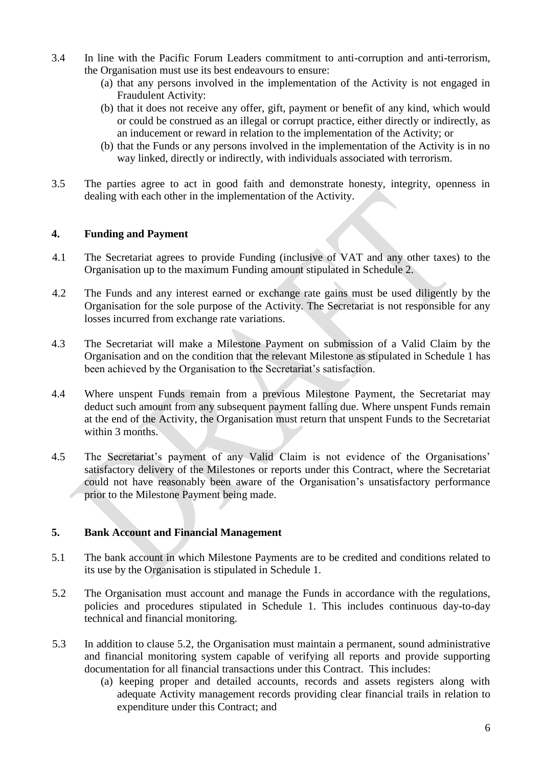- 3.4 In line with the Pacific Forum Leaders commitment to anti-corruption and anti-terrorism, the Organisation must use its best endeavours to ensure:
	- (a) that any persons involved in the implementation of the Activity is not engaged in Fraudulent Activity:
	- (b) that it does not receive any offer, gift, payment or benefit of any kind, which would or could be construed as an illegal or corrupt practice, either directly or indirectly, as an inducement or reward in relation to the implementation of the Activity; or
	- (b) that the Funds or any persons involved in the implementation of the Activity is in no way linked, directly or indirectly, with individuals associated with terrorism.
- 3.5 The parties agree to act in good faith and demonstrate honesty, integrity, openness in dealing with each other in the implementation of the Activity.

#### <span id="page-5-0"></span>**4. Funding and Payment**

- 4.1 The Secretariat agrees to provide Funding (inclusive of VAT and any other taxes) to the Organisation up to the maximum Funding amount stipulated in Schedule 2.
- 4.2 The Funds and any interest earned or exchange rate gains must be used diligently by the Organisation for the sole purpose of the Activity. The Secretariat is not responsible for any losses incurred from exchange rate variations.
- 4.3 The Secretariat will make a Milestone Payment on submission of a Valid Claim by the Organisation and on the condition that the relevant Milestone as stipulated in Schedule 1 has been achieved by the Organisation to the Secretariat's satisfaction.
- 4.4 Where unspent Funds remain from a previous Milestone Payment, the Secretariat may deduct such amount from any subsequent payment falling due. Where unspent Funds remain at the end of the Activity, the Organisation must return that unspent Funds to the Secretariat within 3 months.
- 4.5 The Secretariat's payment of any Valid Claim is not evidence of the Organisations' satisfactory delivery of the Milestones or reports under this Contract, where the Secretariat could not have reasonably been aware of the Organisation's unsatisfactory performance prior to the Milestone Payment being made.

#### <span id="page-5-1"></span>**5. Bank Account and Financial Management**

- 5.1 The bank account in which Milestone Payments are to be credited and conditions related to its use by the Organisation is stipulated in Schedule 1.
- 5.2 The Organisation must account and manage the Funds in accordance with the regulations, policies and procedures stipulated in Schedule 1. This includes continuous day-to-day technical and financial monitoring.
- 5.3 In addition to clause 5.2, the Organisation must maintain a permanent, sound administrative and financial monitoring system capable of verifying all reports and provide supporting documentation for all financial transactions under this Contract. This includes:
	- (a) keeping proper and detailed accounts, records and assets registers along with adequate Activity management records providing clear financial trails in relation to expenditure under this Contract; and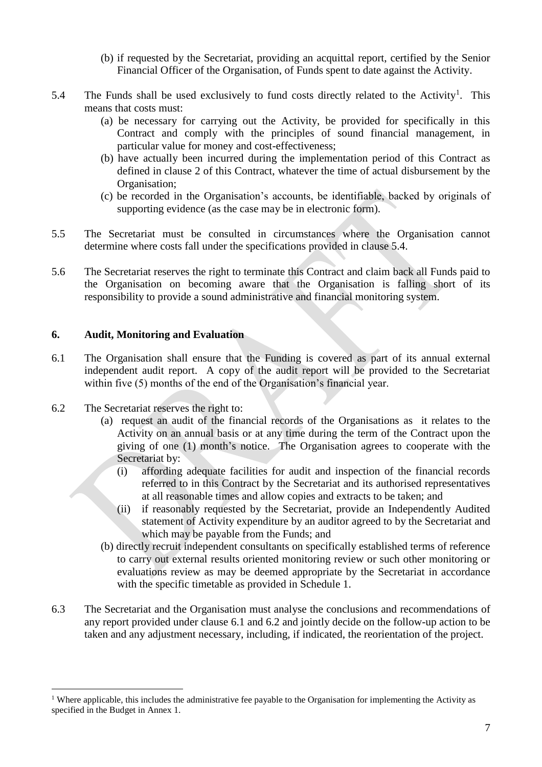- (b) if requested by the Secretariat, providing an acquittal report, certified by the Senior Financial Officer of the Organisation, of Funds spent to date against the Activity.
- 5.4 The Funds shall be used exclusively to fund costs directly related to the Activity<sup>1</sup>. This means that costs must:
	- (a) be necessary for carrying out the Activity, be provided for specifically in this Contract and comply with the principles of sound financial management, in particular value for money and cost-effectiveness;
	- (b) have actually been incurred during the implementation period of this Contract as defined in clause 2 of this Contract, whatever the time of actual disbursement by the Organisation;
	- (c) be recorded in the Organisation's accounts, be identifiable, backed by originals of supporting evidence (as the case may be in electronic form).
- 5.5 The Secretariat must be consulted in circumstances where the Organisation cannot determine where costs fall under the specifications provided in clause 5.4.
- 5.6 The Secretariat reserves the right to terminate this Contract and claim back all Funds paid to the Organisation on becoming aware that the Organisation is falling short of its responsibility to provide a sound administrative and financial monitoring system.

#### <span id="page-6-0"></span>**6. Audit, Monitoring and Evaluation**

- 6.1 The Organisation shall ensure that the Funding is covered as part of its annual external independent audit report. A copy of the audit report will be provided to the Secretariat within five (5) months of the end of the Organisation's financial year.
- 6.2 The Secretariat reserves the right to:

 $\overline{a}$ 

- (a) request an audit of the financial records of the Organisations as it relates to the Activity on an annual basis or at any time during the term of the Contract upon the giving of one (1) month's notice. The Organisation agrees to cooperate with the Secretariat by:
	- (i) affording adequate facilities for audit and inspection of the financial records referred to in this Contract by the Secretariat and its authorised representatives at all reasonable times and allow copies and extracts to be taken; and
	- (ii) if reasonably requested by the Secretariat, provide an Independently Audited statement of Activity expenditure by an auditor agreed to by the Secretariat and which may be payable from the Funds; and
- (b) directly recruit independent consultants on specifically established terms of reference to carry out external results oriented monitoring review or such other monitoring or evaluations review as may be deemed appropriate by the Secretariat in accordance with the specific timetable as provided in Schedule 1.
- 6.3 The Secretariat and the Organisation must analyse the conclusions and recommendations of any report provided under clause 6.1 and 6.2 and jointly decide on the follow-up action to be taken and any adjustment necessary, including, if indicated, the reorientation of the project.

<sup>&</sup>lt;sup>1</sup> Where applicable, this includes the administrative fee payable to the Organisation for implementing the Activity as specified in the Budget in Annex 1.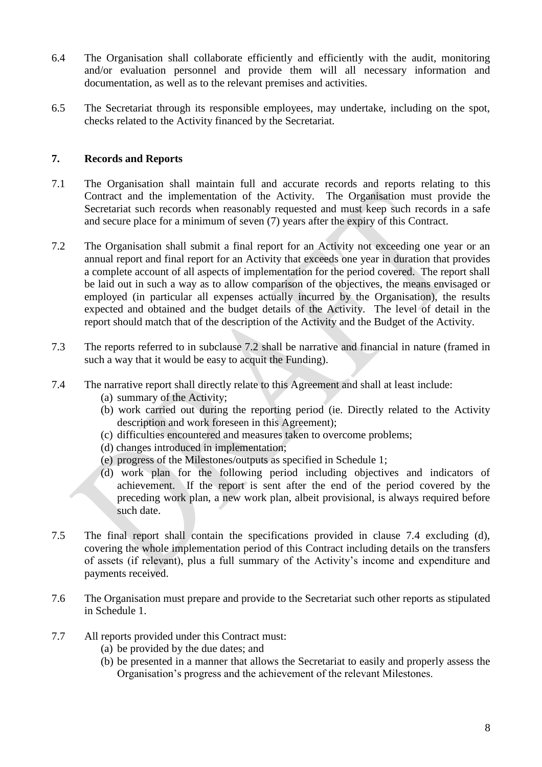- 6.4 The Organisation shall collaborate efficiently and efficiently with the audit, monitoring and/or evaluation personnel and provide them will all necessary information and documentation, as well as to the relevant premises and activities.
- 6.5 The Secretariat through its responsible employees, may undertake, including on the spot, checks related to the Activity financed by the Secretariat.

#### <span id="page-7-0"></span>**7. Records and Reports**

- 7.1 The Organisation shall maintain full and accurate records and reports relating to this Contract and the implementation of the Activity. The Organisation must provide the Secretariat such records when reasonably requested and must keep such records in a safe and secure place for a minimum of seven (7) years after the expiry of this Contract.
- 7.2 The Organisation shall submit a final report for an Activity not exceeding one year or an annual report and final report for an Activity that exceeds one year in duration that provides a complete account of all aspects of implementation for the period covered. The report shall be laid out in such a way as to allow comparison of the objectives, the means envisaged or employed (in particular all expenses actually incurred by the Organisation), the results expected and obtained and the budget details of the Activity. The level of detail in the report should match that of the description of the Activity and the Budget of the Activity.
- 7.3 The reports referred to in subclause 7.2 shall be narrative and financial in nature (framed in such a way that it would be easy to acquit the Funding).
- 7.4 The narrative report shall directly relate to this Agreement and shall at least include:
	- (a) summary of the Activity;
	- (b) work carried out during the reporting period (ie. Directly related to the Activity description and work foreseen in this Agreement);
	- (c) difficulties encountered and measures taken to overcome problems;
	- (d) changes introduced in implementation;
	- (e) progress of the Milestones/outputs as specified in Schedule 1;
	- (d) work plan for the following period including objectives and indicators of achievement. If the report is sent after the end of the period covered by the preceding work plan, a new work plan, albeit provisional, is always required before such date.
- 7.5 The final report shall contain the specifications provided in clause 7.4 excluding (d), covering the whole implementation period of this Contract including details on the transfers of assets (if relevant), plus a full summary of the Activity's income and expenditure and payments received.
- 7.6 The Organisation must prepare and provide to the Secretariat such other reports as stipulated in Schedule 1.
- 7.7 All reports provided under this Contract must:
	- (a) be provided by the due dates; and
	- (b) be presented in a manner that allows the Secretariat to easily and properly assess the Organisation's progress and the achievement of the relevant Milestones.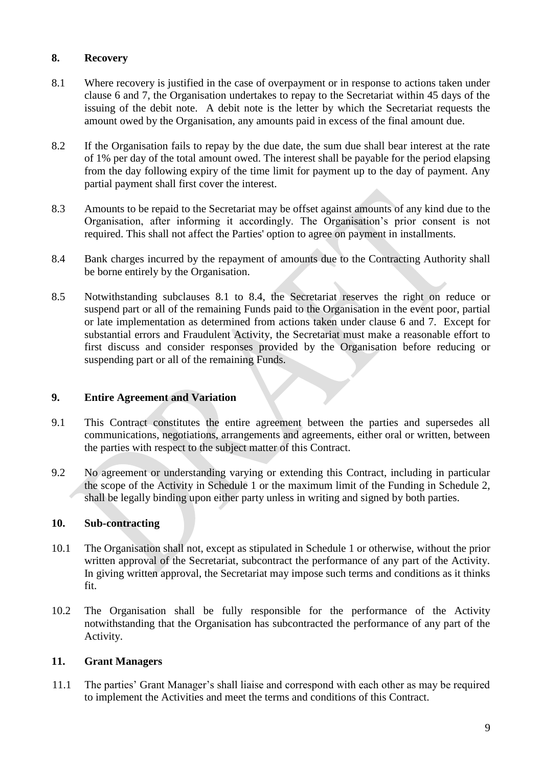#### <span id="page-8-0"></span>**8. Recovery**

- 8.1 Where recovery is justified in the case of overpayment or in response to actions taken under clause 6 and 7, the Organisation undertakes to repay to the Secretariat within 45 days of the issuing of the debit note. A debit note is the letter by which the Secretariat requests the amount owed by the Organisation, any amounts paid in excess of the final amount due.
- 8.2 If the Organisation fails to repay by the due date, the sum due shall bear interest at the rate of 1% per day of the total amount owed. The interest shall be payable for the period elapsing from the day following expiry of the time limit for payment up to the day of payment. Any partial payment shall first cover the interest.
- 8.3 Amounts to be repaid to the Secretariat may be offset against amounts of any kind due to the Organisation, after informing it accordingly. The Organisation's prior consent is not required. This shall not affect the Parties' option to agree on payment in installments.
- 8.4 Bank charges incurred by the repayment of amounts due to the Contracting Authority shall be borne entirely by the Organisation.
- 8.5 Notwithstanding subclauses 8.1 to 8.4, the Secretariat reserves the right on reduce or suspend part or all of the remaining Funds paid to the Organisation in the event poor, partial or late implementation as determined from actions taken under clause 6 and 7. Except for substantial errors and Fraudulent Activity, the Secretariat must make a reasonable effort to first discuss and consider responses provided by the Organisation before reducing or suspending part or all of the remaining Funds.

#### <span id="page-8-1"></span>**9. Entire Agreement and Variation**

- 9.1 This Contract constitutes the entire agreement between the parties and supersedes all communications, negotiations, arrangements and agreements, either oral or written, between the parties with respect to the subject matter of this Contract.
- 9.2 No agreement or understanding varying or extending this Contract, including in particular the scope of the Activity in Schedule 1 or the maximum limit of the Funding in Schedule 2, shall be legally binding upon either party unless in writing and signed by both parties.

#### <span id="page-8-2"></span>**10. Sub-contracting**

- 10.1 The Organisation shall not, except as stipulated in Schedule 1 or otherwise, without the prior written approval of the Secretariat, subcontract the performance of any part of the Activity. In giving written approval, the Secretariat may impose such terms and conditions as it thinks fit.
- 10.2 The Organisation shall be fully responsible for the performance of the Activity notwithstanding that the Organisation has subcontracted the performance of any part of the Activity.

#### <span id="page-8-3"></span>**11. Grant Managers**

11.1 The parties' Grant Manager's shall liaise and correspond with each other as may be required to implement the Activities and meet the terms and conditions of this Contract.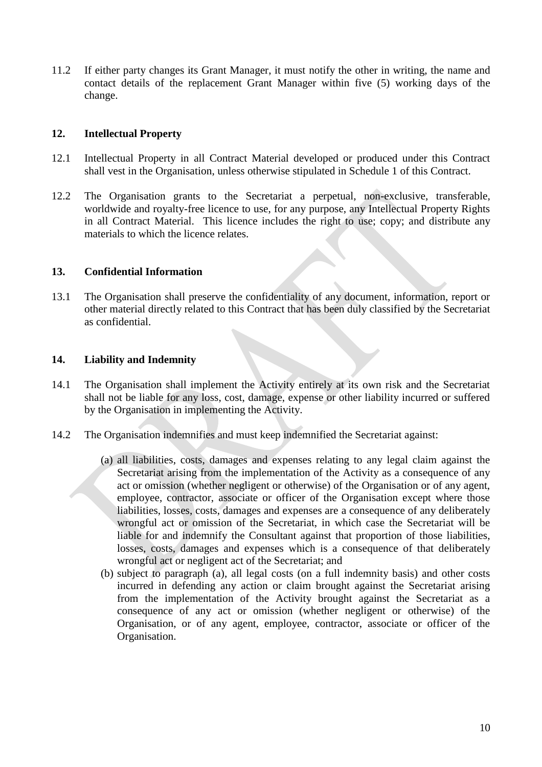11.2 If either party changes its Grant Manager, it must notify the other in writing, the name and contact details of the replacement Grant Manager within five (5) working days of the change.

#### <span id="page-9-0"></span>**12. Intellectual Property**

- 12.1 Intellectual Property in all Contract Material developed or produced under this Contract shall vest in the Organisation, unless otherwise stipulated in Schedule 1 of this Contract.
- 12.2 The Organisation grants to the Secretariat a perpetual, non-exclusive, transferable, worldwide and royalty-free licence to use, for any purpose, any Intellectual Property Rights in all Contract Material. This licence includes the right to use; copy; and distribute any materials to which the licence relates.

#### <span id="page-9-1"></span>**13. Confidential Information**

13.1 The Organisation shall preserve the confidentiality of any document, information, report or other material directly related to this Contract that has been duly classified by the Secretariat as confidential.

#### <span id="page-9-2"></span>**14. Liability and Indemnity**

- 14.1 The Organisation shall implement the Activity entirely at its own risk and the Secretariat shall not be liable for any loss, cost, damage, expense or other liability incurred or suffered by the Organisation in implementing the Activity.
- 14.2 The Organisation indemnifies and must keep indemnified the Secretariat against:
	- (a) all liabilities, costs, damages and expenses relating to any legal claim against the Secretariat arising from the implementation of the Activity as a consequence of any act or omission (whether negligent or otherwise) of the Organisation or of any agent, employee, contractor, associate or officer of the Organisation except where those liabilities, losses, costs, damages and expenses are a consequence of any deliberately wrongful act or omission of the Secretariat, in which case the Secretariat will be liable for and indemnify the Consultant against that proportion of those liabilities, losses, costs, damages and expenses which is a consequence of that deliberately wrongful act or negligent act of the Secretariat; and
	- (b) subject to paragraph (a), all legal costs (on a full indemnity basis) and other costs incurred in defending any action or claim brought against the Secretariat arising from the implementation of the Activity brought against the Secretariat as a consequence of any act or omission (whether negligent or otherwise) of the Organisation, or of any agent, employee, contractor, associate or officer of the Organisation.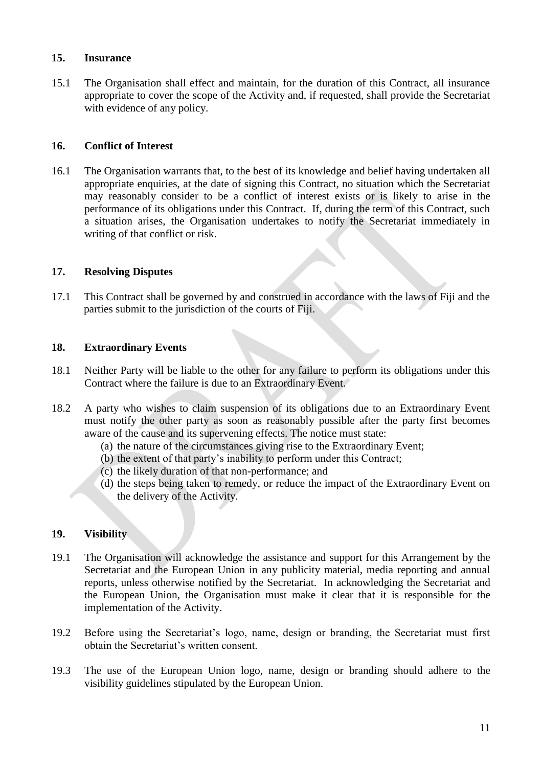#### <span id="page-10-0"></span>**15. Insurance**

15.1 The Organisation shall effect and maintain, for the duration of this Contract, all insurance appropriate to cover the scope of the Activity and, if requested, shall provide the Secretariat with evidence of any policy.

#### <span id="page-10-1"></span>**16. Conflict of Interest**

16.1 The Organisation warrants that, to the best of its knowledge and belief having undertaken all appropriate enquiries, at the date of signing this Contract, no situation which the Secretariat may reasonably consider to be a conflict of interest exists or is likely to arise in the performance of its obligations under this Contract. If, during the term of this Contract, such a situation arises, the Organisation undertakes to notify the Secretariat immediately in writing of that conflict or risk.

#### <span id="page-10-2"></span>**17. Resolving Disputes**

17.1 This Contract shall be governed by and construed in accordance with the laws of Fiji and the parties submit to the jurisdiction of the courts of Fiji.

#### <span id="page-10-3"></span>**18. Extraordinary Events**

- 18.1 Neither Party will be liable to the other for any failure to perform its obligations under this Contract where the failure is due to an Extraordinary Event.
- 18.2 A party who wishes to claim suspension of its obligations due to an Extraordinary Event must notify the other party as soon as reasonably possible after the party first becomes aware of the cause and its supervening effects. The notice must state:
	- (a) the nature of the circumstances giving rise to the Extraordinary Event;
	- (b) the extent of that party's inability to perform under this Contract;
	- (c) the likely duration of that non-performance; and
	- (d) the steps being taken to remedy, or reduce the impact of the Extraordinary Event on the delivery of the Activity.

#### <span id="page-10-4"></span>**19. Visibility**

- 19.1 The Organisation will acknowledge the assistance and support for this Arrangement by the Secretariat and the European Union in any publicity material, media reporting and annual reports, unless otherwise notified by the Secretariat. In acknowledging the Secretariat and the European Union, the Organisation must make it clear that it is responsible for the implementation of the Activity.
- 19.2 Before using the Secretariat's logo, name, design or branding, the Secretariat must first obtain the Secretariat's written consent.
- 19.3 The use of the European Union logo, name, design or branding should adhere to the visibility guidelines stipulated by the European Union.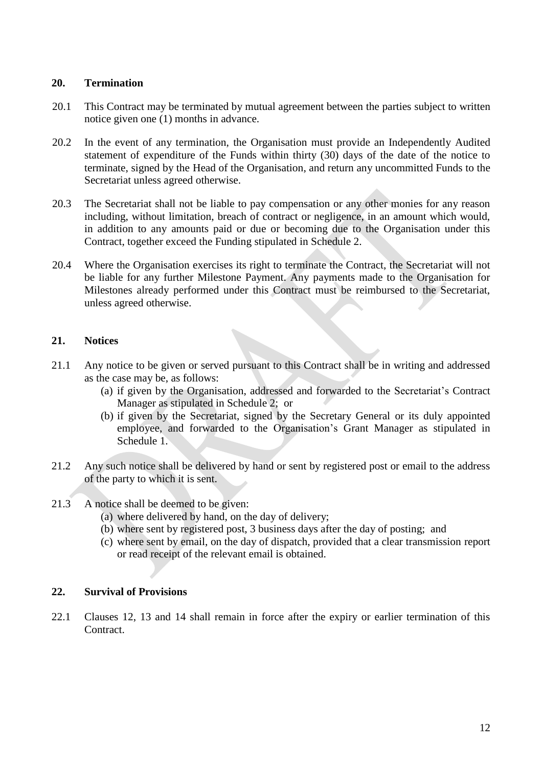#### <span id="page-11-0"></span>**20. Termination**

- 20.1 This Contract may be terminated by mutual agreement between the parties subject to written notice given one (1) months in advance.
- 20.2 In the event of any termination, the Organisation must provide an Independently Audited statement of expenditure of the Funds within thirty (30) days of the date of the notice to terminate, signed by the Head of the Organisation, and return any uncommitted Funds to the Secretariat unless agreed otherwise.
- 20.3 The Secretariat shall not be liable to pay compensation or any other monies for any reason including, without limitation, breach of contract or negligence, in an amount which would, in addition to any amounts paid or due or becoming due to the Organisation under this Contract, together exceed the Funding stipulated in Schedule 2.
- 20.4 Where the Organisation exercises its right to terminate the Contract, the Secretariat will not be liable for any further Milestone Payment. Any payments made to the Organisation for Milestones already performed under this Contract must be reimbursed to the Secretariat, unless agreed otherwise.

#### <span id="page-11-1"></span>**21. Notices**

- 21.1 Any notice to be given or served pursuant to this Contract shall be in writing and addressed as the case may be, as follows:
	- (a) if given by the Organisation, addressed and forwarded to the Secretariat's Contract Manager as stipulated in Schedule 2; or
	- (b) if given by the Secretariat, signed by the Secretary General or its duly appointed employee, and forwarded to the Organisation's Grant Manager as stipulated in Schedule 1.
- 21.2 Any such notice shall be delivered by hand or sent by registered post or email to the address of the party to which it is sent.
- 21.3 A notice shall be deemed to be given:
	- (a) where delivered by hand, on the day of delivery;
	- (b) where sent by registered post, 3 business days after the day of posting; and
	- (c) where sent by email, on the day of dispatch, provided that a clear transmission report or read receipt of the relevant email is obtained.

#### <span id="page-11-2"></span>**22. Survival of Provisions**

22.1 Clauses 12, 13 and 14 shall remain in force after the expiry or earlier termination of this Contract.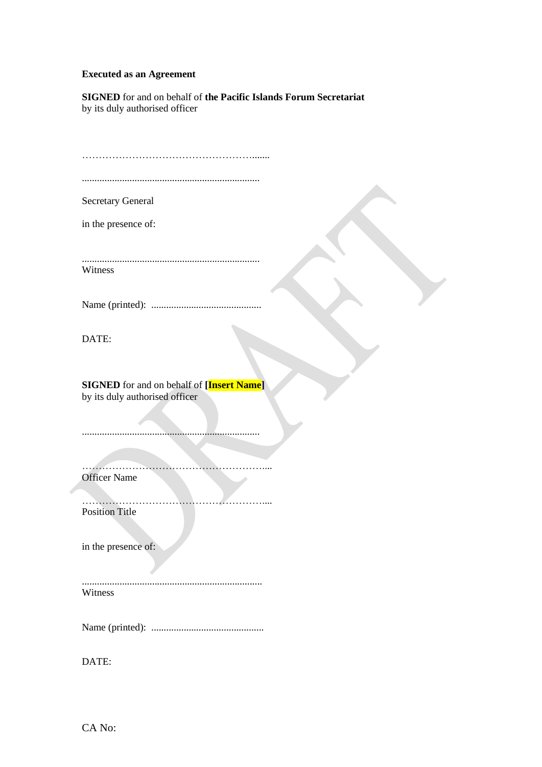#### **Executed as an Agreement**

**SIGNED** for and on behalf of **the Pacific Islands Forum Secretariat** by its duly authorised officer

| Secretary General                                |
|--------------------------------------------------|
|                                                  |
| in the presence of:                              |
|                                                  |
|                                                  |
|                                                  |
| Witness                                          |
|                                                  |
|                                                  |
|                                                  |
|                                                  |
|                                                  |
| DATE:                                            |
|                                                  |
|                                                  |
|                                                  |
| <b>SIGNED</b> for and on behalf of [Insert Name] |
| by its duly authorised officer                   |
|                                                  |
|                                                  |
|                                                  |
|                                                  |
|                                                  |
|                                                  |
| <b>Officer Name</b>                              |
|                                                  |
| <b>Position Title</b>                            |
|                                                  |
|                                                  |
| in the presence of:                              |
|                                                  |
|                                                  |
|                                                  |
| Witness                                          |
|                                                  |
|                                                  |
|                                                  |
|                                                  |
|                                                  |
| DATE:                                            |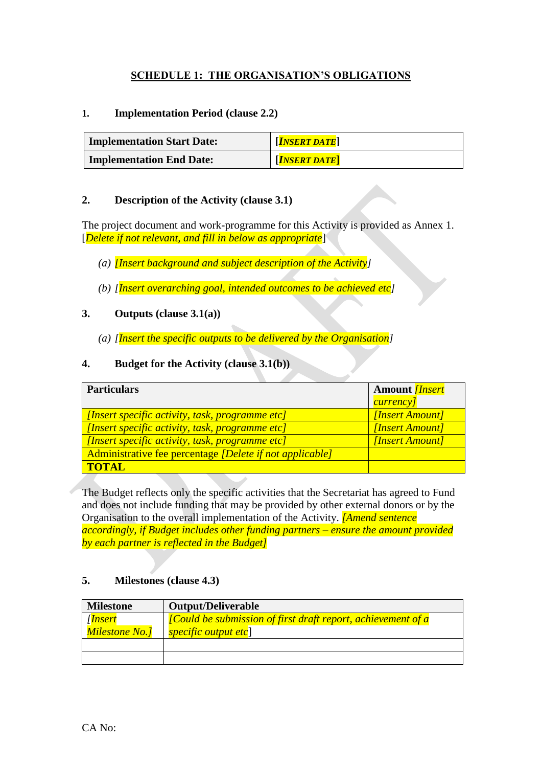#### **SCHEDULE 1: THE ORGANISATION'S OBLIGATIONS**

#### <span id="page-13-0"></span>**1. Implementation Period (clause 2.2)**

| <b>Implementation Start Date:</b> | $\left\lceil \bm{INSERT}\bm{DATA}\bm{T}\bm{E} \right\rceil$ |
|-----------------------------------|-------------------------------------------------------------|
| <b>Implementation End Date:</b>   | $\sqrt{INBERT\,DATE}$                                       |

#### **2. Description of the Activity (clause 3.1)**

The project document and work-programme for this Activity is provided as Annex 1. [*Delete if not relevant, and fill in below as appropriate*]

- *(a) [Insert background and subject description of the Activity]*
- *(b) [Insert overarching goal, intended outcomes to be achieved etc]*

#### **3. Outputs (clause 3.1(a))**

*(a) [Insert the specific outputs to be delivered by the Organisation]*

#### **4. Budget for the Activity (clause 3.1(b))**

| <b>Particulars</b>                                       | <b>Amount</b> <i>[Insert</i> ]<br><i>currency]</i> |
|----------------------------------------------------------|----------------------------------------------------|
| [Insert specific activity, task, programme etc]          | [Insert Amount]                                    |
| [Insert specific activity, task, programme etc]          | [Insert Amount]                                    |
| [Insert specific activity, task, programme etc]          | [Insert Amount]                                    |
| Administrative fee percentage [Delete if not applicable] |                                                    |
| <b>TOTAL</b>                                             |                                                    |

The Budget reflects only the specific activities that the Secretariat has agreed to Fund and does not include funding that may be provided by other external donors or by the Organisation to the overall implementation of the Activity. *[Amend sentence accordingly, if Budget includes other funding partners – ensure the amount provided by each partner is reflected in the Budget]*

#### **5. Milestones (clause 4.3)**

| <b>Milestone</b>                               | <b>Output/Deliverable</b>                                                                    |  |  |
|------------------------------------------------|----------------------------------------------------------------------------------------------|--|--|
| [ <mark>Insert</mark><br><b>Milestone No.]</b> | [Could be submission of first draft report, achievement of a<br><i>specific output etc</i> ] |  |  |
|                                                |                                                                                              |  |  |
|                                                |                                                                                              |  |  |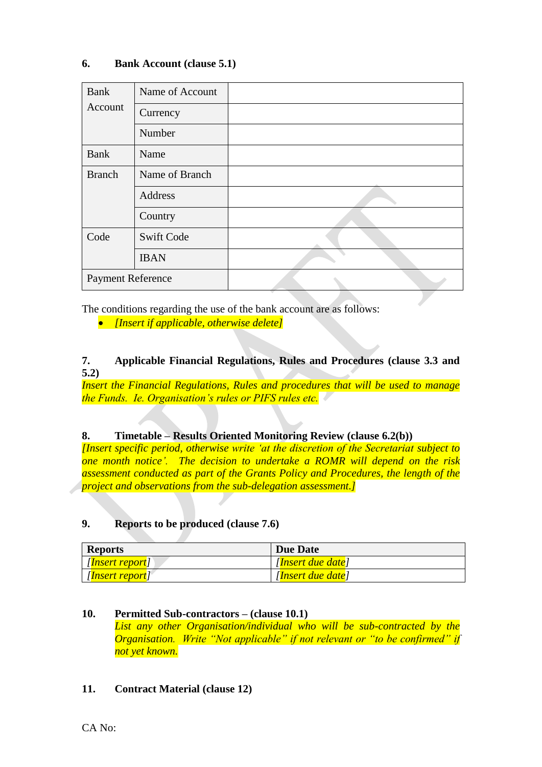#### **6. Bank Account (clause 5.1)**

| Bank                     | Name of Account   |  |
|--------------------------|-------------------|--|
| Account                  | Currency          |  |
|                          | Number            |  |
| <b>Bank</b>              | Name              |  |
| <b>Branch</b>            | Name of Branch    |  |
|                          | Address           |  |
|                          | Country           |  |
| Code                     | <b>Swift Code</b> |  |
|                          | <b>IBAN</b>       |  |
| <b>Payment Reference</b> |                   |  |

The conditions regarding the use of the bank account are as follows:

*[Insert if applicable, otherwise delete]*

#### **7. Applicable Financial Regulations, Rules and Procedures (clause 3.3 and 5.2)**

*Insert the Financial Regulations, Rules and procedures that will be used to manage the Funds. Ie. Organisation's rules or PIFS rules etc.* 

#### **8. Timetable – Results Oriented Monitoring Review (clause 6.2(b))**

*[Insert specific period, otherwise write 'at the discretion of the Secretariat subject to one month notice'. The decision to undertake a ROMR will depend on the risk assessment conducted as part of the Grants Policy and Procedures, the length of the project and observations from the sub-delegation assessment.]*

#### **9. Reports to be produced (clause 7.6)**

| <b>Reports</b>           | Due Date          |  |  |
|--------------------------|-------------------|--|--|
| [ <i>Insert report</i> ] | [Insert due date] |  |  |
| [ <i>Insert report</i> ] | [Insert due date] |  |  |

#### **10. Permitted Sub-contractors – (clause 10.1)** *List any other Organisation/individual who will be sub-contracted by the Organisation. Write "Not applicable" if not relevant or "to be confirmed" if not yet known.*

#### **11. Contract Material (clause 12)**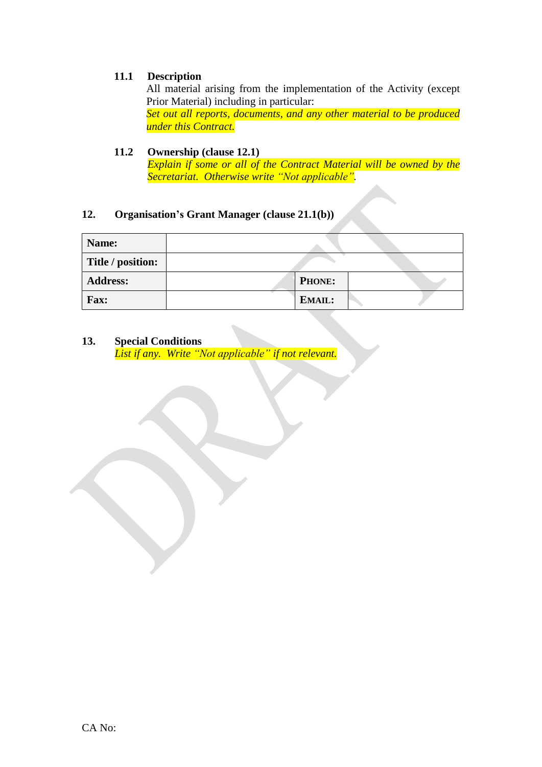#### **11.1 Description**

All material arising from the implementation of the Activity (except Prior Material) including in particular: *Set out all reports, documents, and any other material to be produced under this Contract.*

#### **11.2 Ownership (clause 12.1)**

*Explain if some or all of the Contract Material will be owned by the Secretariat. Otherwise write "Not applicable".*

#### **12. Organisation's Grant Manager (clause 21.1(b))**

| Name:             |               |  |
|-------------------|---------------|--|
| Title / position: |               |  |
| <b>Address:</b>   | <b>PHONE:</b> |  |
| <b>Fax:</b>       | EMAIL:        |  |

#### **13. Special Conditions**

*List if any. Write "Not applicable" if not relevant.*